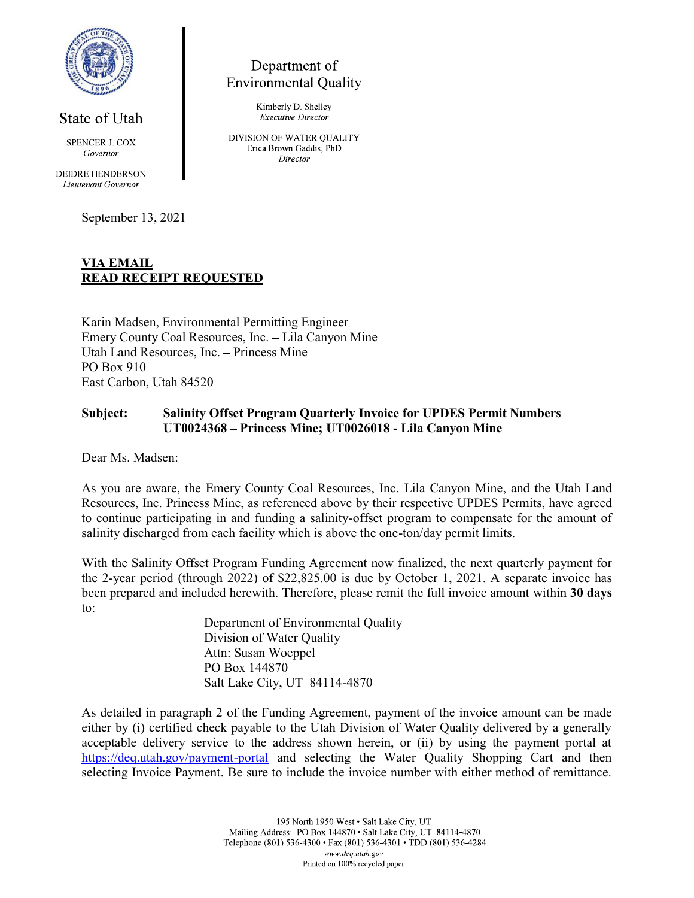

State of Utah **SPENCER J. COX** 

Governor

**DEIDRE HENDERSON** Lieutenant Governor

September 13, 2021

## Department of **Environmental Quality**

Kimberly D. Shelley **Executive Director** 

DIVISION OF WATER QUALITY Erica Brown Gaddis, PhD Director

## VIA EMAIL READ RECEIPT REQUESTED

Karin Madsen, Environmental Permitting Engineer Emery County Coal Resources, Inc. Lila Canyon Mine Utah Land Resources, Inc. - Princess Mine PO Box 910 East Carbon, Utah 84520

## Subject: Salinity Offset Program Quarterly Invoice for UPDES Permit Numbers UT0024368 Princess Mine; UT0026018 - Lila Canyon Mine

Dear Ms. Madsen:

As you are aware, the Emery County Coal Resources, Inc. Lila Canyon Mine, and the Utah Land Resources, Inc. Princess Mine, as referenced above by their respective UPDES Permits, have agreed to continue participating in and funding a salinity-offset program to compensate for the amount of salinity discharged from each facility which is above the one-ton/day permit limits.

With the Salinity Offset Program Funding Agreement now finalized, the next quarterly payment for the 2-year period (through 2022) of \$22,825.00 is due by October 1, 2021. A separate invoice has been prepared and included herewith. Therefore, please remit the full invoice amount within 30 days to:

> Department of Environmental Quality Division of Water Quality Attn: Susan Woeppel PO Box 144870 Salt Lake City, UT 84114-4870

As detailed in paragraph 2 of the Funding Agreement, payment of the invoice amount can be made either by (i) certified check payable to the Utah Division of Water Quality delivered by a generally acceptable delivery service to the address shown herein, or (ii) by using the payment portal at https://deq.utah.gov/payment-portal and selecting the Water Quality Shopping Cart and then selecting Invoice Payment. Be sure to include the invoice number with either method of remittance.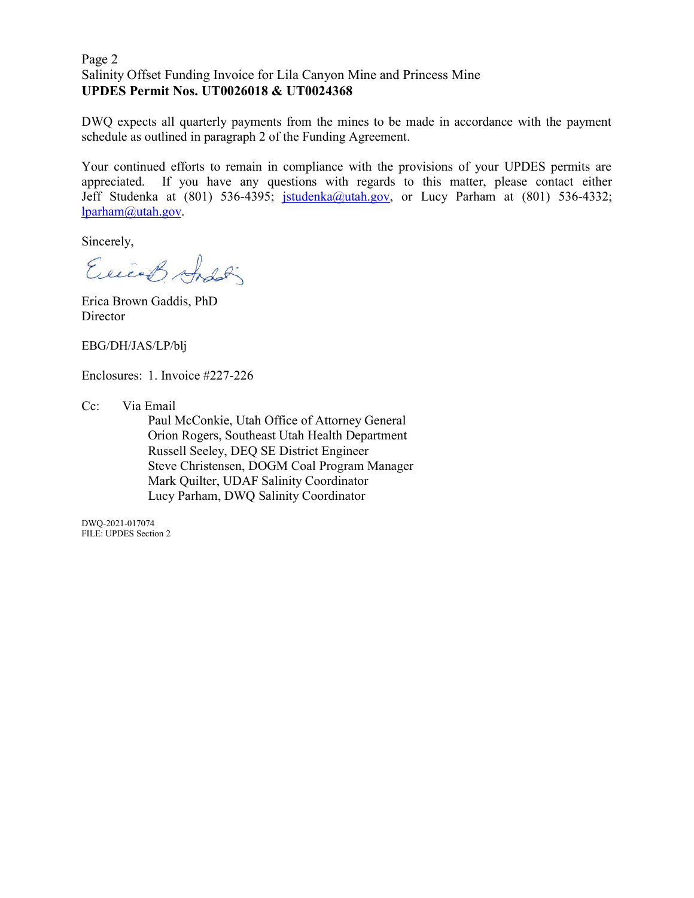# Page 2 Page 2<br>Salinity Offset Funding Invoice for Lila Canyon Mine and Princess Mine<br>UPDES Permit Nos. UT0026018 & UT0024368<br>DWQ expects all quarterly payments from the mines to be made in accordance with the payment<br>schedule as UPDES Permit Nos. UT0026018 & UT0024368

DWQ expects all quarterly payments from the mines to be made in accordance with the payment schedule as outlined in paragraph 2 of the Funding Agreement.

Your continued efforts to remain in compliance with the provisions of your UPDES permits are appreciated. If you have any questions with regards to this matter, please contact either Jeff Studenka at (801) 536-4395; jstudenka@utah.gov, or Lucy Parham at (801) 536-4332; lparham@utah.gov.<br>Sincerely,

Exicos Andoli

Erica Brown Gaddis, PhD **Director** 

EBG/DH/JAS/LP/blj

Enclosures: 1. Invoice #227-226

Cc: Via Email

Paul McConkie, Utah Office of Attorney General Orion Rogers, Southeast Utah Health Department Russell Seeley, DEQ SE District Engineer Steve Christensen, DOGM Coal Program Manager Mark Quilter, UDAF Salinity Coordinator Lucy Parham, DWQ Salinity Coordinator

 DWQ-2021-017074 FILE: UPDES Section 2